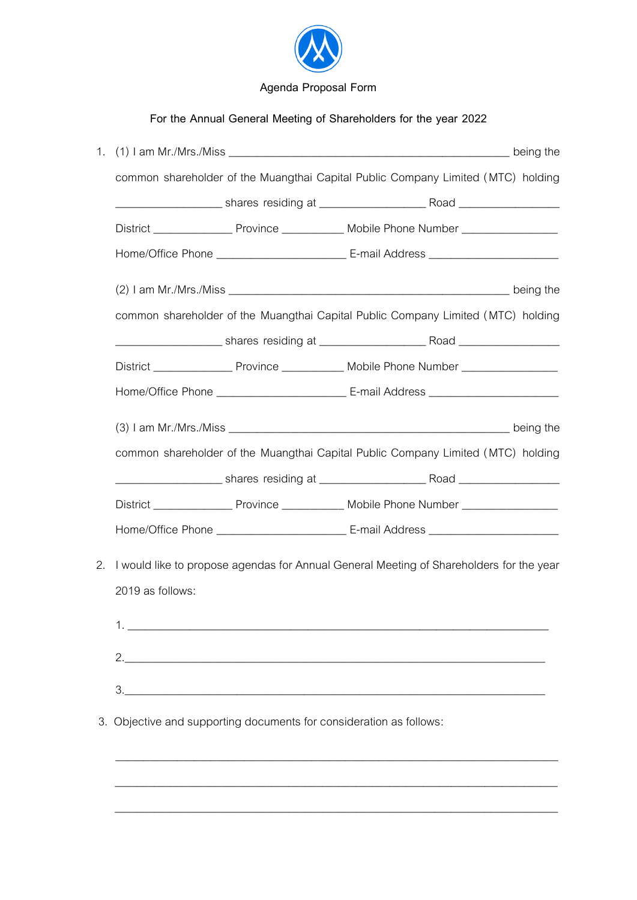

## **For the Annual General Meeting of Shareholders for the year 2022**

|    | common shareholder of the Muangthai Capital Public Company Limited (MTC) holding        |  |                                                                                  |  |  |
|----|-----------------------------------------------------------------------------------------|--|----------------------------------------------------------------------------------|--|--|
|    |                                                                                         |  |                                                                                  |  |  |
|    |                                                                                         |  |                                                                                  |  |  |
|    |                                                                                         |  |                                                                                  |  |  |
|    |                                                                                         |  |                                                                                  |  |  |
|    | common shareholder of the Muangthai Capital Public Company Limited (MTC) holding        |  |                                                                                  |  |  |
|    |                                                                                         |  |                                                                                  |  |  |
|    |                                                                                         |  |                                                                                  |  |  |
|    |                                                                                         |  |                                                                                  |  |  |
|    |                                                                                         |  |                                                                                  |  |  |
|    |                                                                                         |  | common shareholder of the Muangthai Capital Public Company Limited (MTC) holding |  |  |
|    |                                                                                         |  |                                                                                  |  |  |
|    |                                                                                         |  |                                                                                  |  |  |
|    |                                                                                         |  |                                                                                  |  |  |
| 2. | I would like to propose agendas for Annual General Meeting of Shareholders for the year |  |                                                                                  |  |  |
|    | 2019 as follows:                                                                        |  |                                                                                  |  |  |
|    |                                                                                         |  |                                                                                  |  |  |
|    |                                                                                         |  |                                                                                  |  |  |
|    |                                                                                         |  |                                                                                  |  |  |
|    |                                                                                         |  |                                                                                  |  |  |
|    | 3. Objective and supporting documents for consideration as follows:                     |  |                                                                                  |  |  |
|    |                                                                                         |  |                                                                                  |  |  |
|    |                                                                                         |  |                                                                                  |  |  |
|    |                                                                                         |  |                                                                                  |  |  |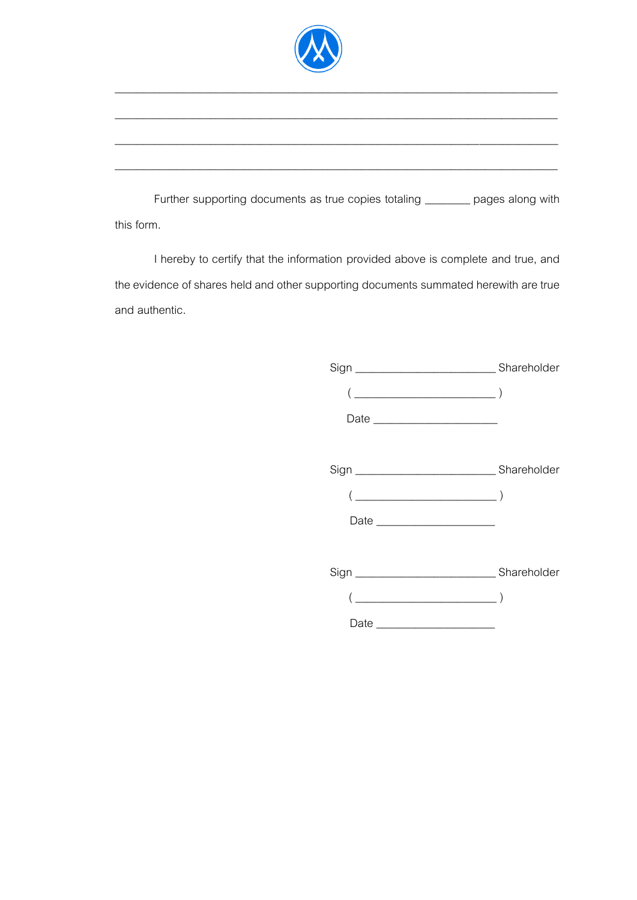

\_\_\_\_\_\_\_\_\_\_\_\_\_\_\_\_\_\_\_\_\_\_\_\_\_\_\_\_\_\_\_\_\_\_\_\_\_\_\_\_\_\_\_\_\_\_\_\_\_\_\_\_\_\_\_\_\_\_\_\_\_\_\_\_\_\_\_\_\_\_\_\_\_\_\_\_\_\_\_

\_\_\_\_\_\_\_\_\_\_\_\_\_\_\_\_\_\_\_\_\_\_\_\_\_\_\_\_\_\_\_\_\_\_\_\_\_\_\_\_\_\_\_\_\_\_\_\_\_\_\_\_\_\_\_\_\_\_\_\_\_\_\_\_\_\_\_\_\_\_\_\_\_\_\_\_\_\_\_

 $\_$  , and the set of the set of the set of the set of the set of the set of the set of the set of the set of the set of the set of the set of the set of the set of the set of the set of the set of the set of the set of th

\_\_\_\_\_\_\_\_\_\_\_\_\_\_\_\_\_\_\_\_\_\_\_\_\_\_\_\_\_\_\_\_\_\_\_\_\_\_\_\_\_\_\_\_\_\_\_\_\_\_\_\_\_\_\_\_\_\_\_\_\_\_\_\_\_\_\_\_\_\_\_\_\_\_\_\_\_\_\_

Further supporting documents as true copies totaling \_\_\_\_\_\_\_ pages along with this form.

I hereby to certify that the information provided above is complete and true, and the evidence of shares held and other supporting documents summated herewith are true and authentic.

| $\begin{pmatrix} \begin{array}{c} \begin{array}{c} \end{array} & \begin{array}{c} \end{array} & \begin{array}{c} \end{array} \\ \end{pmatrix} \end{pmatrix} \end{pmatrix}$ |  |
|----------------------------------------------------------------------------------------------------------------------------------------------------------------------------|--|
| Date _________________________                                                                                                                                             |  |
|                                                                                                                                                                            |  |
|                                                                                                                                                                            |  |
| $(\underline{\hspace{1cm}})$                                                                                                                                               |  |
|                                                                                                                                                                            |  |
|                                                                                                                                                                            |  |
|                                                                                                                                                                            |  |
| $\begin{pmatrix} 1 & 1 & 1 \\ 1 & 1 & 1 \\ 1 & 1 & 1 \end{pmatrix}$                                                                                                        |  |
|                                                                                                                                                                            |  |